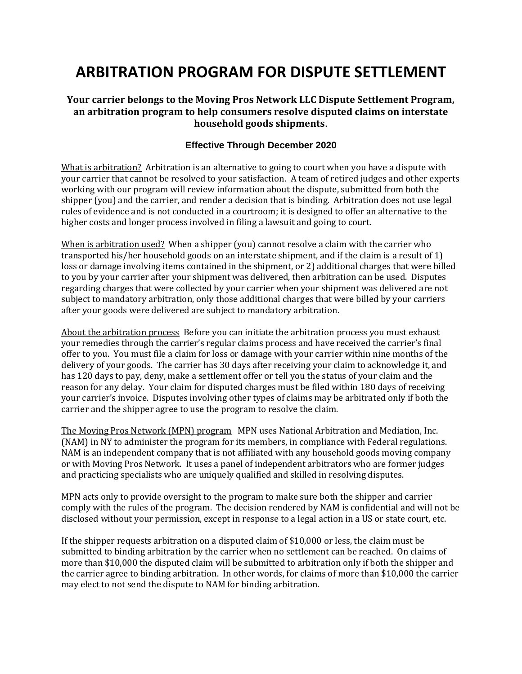## **ARBITRATION PROGRAM FOR DISPUTE SETTLEMENT**

## **Your carrier belongs to the Moving Pros Network LLC Dispute Settlement Program, an arbitration program to help consumers resolve disputed claims on interstate household goods shipments**.

## **Effective Through December 2020**

What is arbitration? Arbitration is an alternative to going to court when you have a dispute with your carrier that cannot be resolved to your satisfaction. A team of retired judges and other experts working with our program will review information about the dispute, submitted from both the shipper (you) and the carrier, and render a decision that is binding. Arbitration does not use legal rules of evidence and is not conducted in a courtroom; it is designed to offer an alternative to the higher costs and longer process involved in filing a lawsuit and going to court.

When is arbitration used? When a shipper (you) cannot resolve a claim with the carrier who transported his/her household goods on an interstate shipment, and if the claim is a result of 1) loss or damage involving items contained in the shipment, or 2) additional charges that were billed to you by your carrier after your shipment was delivered, then arbitration can be used. Disputes regarding charges that were collected by your carrier when your shipment was delivered are not subject to mandatory arbitration, only those additional charges that were billed by your carriers after your goods were delivered are subject to mandatory arbitration.

About the arbitration process Before you can initiate the arbitration process you must exhaust your remedies through the carrier's regular claims process and have received the carrier's final offer to you. You must file a claim for loss or damage with your carrier within nine months of the delivery of your goods. The carrier has 30 days after receiving your claim to acknowledge it, and has 120 days to pay, deny, make a settlement offer or tell you the status of your claim and the reason for any delay. Your claim for disputed charges must be filed within 180 days of receiving your carrier's invoice. Disputes involving other types of claims may be arbitrated only if both the carrier and the shipper agree to use the program to resolve the claim.

The Moving Pros Network (MPN) program MPN uses National Arbitration and Mediation, Inc. (NAM) in NY to administer the program for its members, in compliance with Federal regulations. NAM is an independent company that is not affiliated with any household goods moving company or with Moving Pros Network. It uses a panel of independent arbitrators who are former judges and practicing specialists who are uniquely qualified and skilled in resolving disputes.

MPN acts only to provide oversight to the program to make sure both the shipper and carrier comply with the rules of the program. The decision rendered by NAM is confidential and will not be disclosed without your permission, except in response to a legal action in a US or state court, etc.

If the shipper requests arbitration on a disputed claim of \$10,000 or less, the claim must be submitted to binding arbitration by the carrier when no settlement can be reached. On claims of more than \$10,000 the disputed claim will be submitted to arbitration only if both the shipper and the carrier agree to binding arbitration. In other words, for claims of more than \$10,000 the carrier may elect to not send the dispute to NAM for binding arbitration.